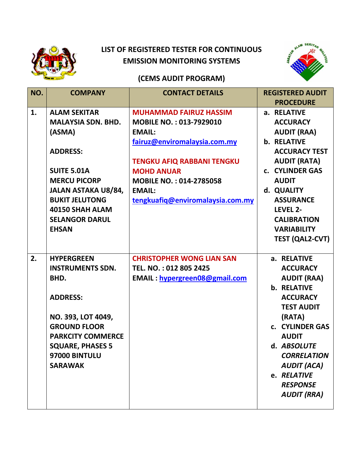

## **LIST OF REGISTERED TESTER FOR CONTINUOUS EMISSION MONITORING SYSTEMS**



## **(CEMS AUDIT PROGRAM)**

| NO. | <b>COMPANY</b>             | <b>CONTACT DETAILS</b>               | <b>REGISTERED AUDIT</b> |
|-----|----------------------------|--------------------------------------|-------------------------|
|     |                            |                                      | <b>PROCEDURE</b>        |
| 1.  | <b>ALAM SEKITAR</b>        | <b>MUHAMMAD FAIRUZ HASSIM</b>        | a. RELATIVE             |
|     | <b>MALAYSIA SDN. BHD.</b>  | <b>MOBILE NO.: 013-7929010</b>       | <b>ACCURACY</b>         |
|     | (ASMA)                     | <b>EMAIL:</b>                        | <b>AUDIT (RAA)</b>      |
|     |                            | fairuz@enviromalaysia.com.my         | <b>b. RELATIVE</b>      |
|     | <b>ADDRESS:</b>            |                                      | <b>ACCURACY TEST</b>    |
|     |                            | <b>TENGKU AFIQ RABBANI TENGKU</b>    | <b>AUDIT (RATA)</b>     |
|     | <b>SUITE 5.01A</b>         | <b>MOHD ANUAR</b>                    | c. CYLINDER GAS         |
|     | <b>MERCU PICORP</b>        | <b>MOBILE NO.: 014-2785058</b>       | <b>AUDIT</b>            |
|     | <b>JALAN ASTAKA U8/84,</b> | <b>EMAIL:</b>                        | d. QUALITY              |
|     | <b>BUKIT JELUTONG</b>      | tengkuafiq@enviromalaysia.com.my     | <b>ASSURANCE</b>        |
|     | 40150 SHAH ALAM            |                                      | LEVEL 2-                |
|     | <b>SELANGOR DARUL</b>      |                                      | <b>CALIBRATION</b>      |
|     | <b>EHSAN</b>               |                                      | <b>VARIABILITY</b>      |
|     |                            |                                      | <b>TEST (QAL2-CVT)</b>  |
|     |                            |                                      |                         |
| 2.  | <b>HYPERGREEN</b>          | <b>CHRISTOPHER WONG LIAN SAN</b>     | a. RELATIVE             |
|     | <b>INSTRUMENTS SDN.</b>    | TEL. NO.: 012 805 2425               | <b>ACCURACY</b>         |
|     | BHD.                       | <b>EMAIL:</b> hypergreen08@gmail.com | <b>AUDIT (RAA)</b>      |
|     |                            |                                      | <b>b. RELATIVE</b>      |
|     | <b>ADDRESS:</b>            |                                      | <b>ACCURACY</b>         |
|     |                            |                                      | <b>TEST AUDIT</b>       |
|     | NO. 393, LOT 4049,         |                                      | (RATA)                  |
|     | <b>GROUND FLOOR</b>        |                                      | c. CYLINDER GAS         |
|     | <b>PARKCITY COMMERCE</b>   |                                      | <b>AUDIT</b>            |
|     | <b>SQUARE, PHASES 5</b>    |                                      | d. ABSOLUTE             |
|     | 97000 BINTULU              |                                      | <b>CORRELATION</b>      |
|     | <b>SARAWAK</b>             |                                      | <b>AUDIT (ACA)</b>      |
|     |                            |                                      | e. RELATIVE             |
|     |                            |                                      | <b>RESPONSE</b>         |
|     |                            |                                      | <b>AUDIT (RRA)</b>      |
|     |                            |                                      |                         |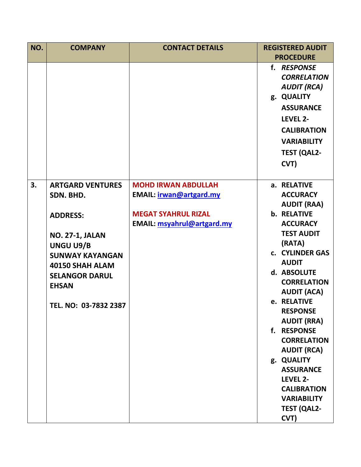| NO. | <b>COMPANY</b>                      | <b>CONTACT DETAILS</b>                                   | <b>REGISTERED AUDIT</b><br><b>PROCEDURE</b>                                                                                                                                     |
|-----|-------------------------------------|----------------------------------------------------------|---------------------------------------------------------------------------------------------------------------------------------------------------------------------------------|
|     |                                     |                                                          | f. RESPONSE<br><b>CORRELATION</b><br><b>AUDIT (RCA)</b><br>g. QUALITY<br><b>ASSURANCE</b><br>LEVEL 2-<br><b>CALIBRATION</b><br><b>VARIABILITY</b><br><b>TEST (QAL2-</b><br>CVT) |
| 3.  | <b>ARTGARD VENTURES</b>             | <b>MOHD IRWAN ABDULLAH</b>                               | a. RELATIVE                                                                                                                                                                     |
|     | SDN. BHD.                           | EMAIL: <i>irwan@artgard.my</i>                           | <b>ACCURACY</b>                                                                                                                                                                 |
|     |                                     |                                                          | <b>AUDIT (RAA)</b>                                                                                                                                                              |
|     | <b>ADDRESS:</b>                     | <b>MEGAT SYAHRUL RIZAL</b><br>EMAIL: msyahrul@artgard.my | <b>b. RELATIVE</b><br><b>ACCURACY</b>                                                                                                                                           |
|     |                                     |                                                          | <b>TEST AUDIT</b>                                                                                                                                                               |
|     | <b>NO. 27-1, JALAN</b><br>UNGU U9/B |                                                          | (RATA)                                                                                                                                                                          |
|     | <b>SUNWAY KAYANGAN</b>              |                                                          | c. CYLINDER GAS                                                                                                                                                                 |
|     | 40150 SHAH ALAM                     |                                                          | <b>AUDIT</b>                                                                                                                                                                    |
|     | <b>SELANGOR DARUL</b>               |                                                          | d. ABSOLUTE                                                                                                                                                                     |
|     | <b>EHSAN</b>                        |                                                          | <b>CORRELATION</b>                                                                                                                                                              |
|     |                                     |                                                          | <b>AUDIT (ACA)</b>                                                                                                                                                              |
|     | TEL. NO: 03-7832 2387               |                                                          | e. RELATIVE<br><b>RESPONSE</b>                                                                                                                                                  |
|     |                                     |                                                          | <b>AUDIT (RRA)</b>                                                                                                                                                              |
|     |                                     |                                                          | <b>RESPONSE</b><br>$f_{\star}$                                                                                                                                                  |
|     |                                     |                                                          | <b>CORRELATION</b>                                                                                                                                                              |
|     |                                     |                                                          | <b>AUDIT (RCA)</b>                                                                                                                                                              |
|     |                                     |                                                          | g. QUALITY                                                                                                                                                                      |
|     |                                     |                                                          | <b>ASSURANCE</b>                                                                                                                                                                |
|     |                                     |                                                          | LEVEL 2-                                                                                                                                                                        |
|     |                                     |                                                          | <b>CALIBRATION</b>                                                                                                                                                              |
|     |                                     |                                                          | <b>VARIABILITY</b>                                                                                                                                                              |
|     |                                     |                                                          | <b>TEST (QAL2-</b>                                                                                                                                                              |
|     |                                     |                                                          | CVT)                                                                                                                                                                            |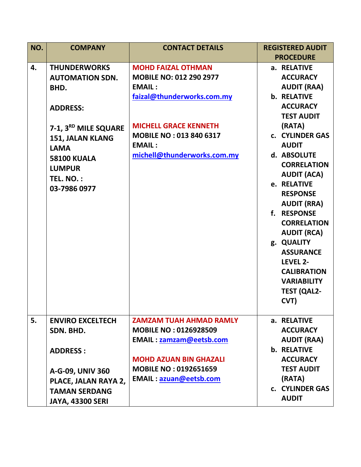| NO. | <b>COMPANY</b>          | <b>CONTACT DETAILS</b>         | <b>REGISTERED AUDIT</b> |
|-----|-------------------------|--------------------------------|-------------------------|
|     |                         |                                | <b>PROCEDURE</b>        |
| 4.  | <b>THUNDERWORKS</b>     | <b>MOHD FAIZAL OTHMAN</b>      | a. RELATIVE             |
|     | <b>AUTOMATION SDN.</b>  | <b>MOBILE NO: 012 290 2977</b> | <b>ACCURACY</b>         |
|     | BHD.                    | <b>EMAIL:</b>                  | <b>AUDIT (RAA)</b>      |
|     |                         | faizal@thunderworks.com.my     | <b>b. RELATIVE</b>      |
|     | <b>ADDRESS:</b>         |                                | <b>ACCURACY</b>         |
|     |                         |                                | <b>TEST AUDIT</b>       |
|     | 7-1, 3RD MILE SQUARE    | <b>MICHELL GRACE KENNETH</b>   | (RATA)                  |
|     | 151, JALAN KLANG        | <b>MOBILE NO: 013 840 6317</b> | c. CYLINDER GAS         |
|     | <b>LAMA</b>             | <b>EMAIL:</b>                  | <b>AUDIT</b>            |
|     | <b>58100 KUALA</b>      | michell@thunderworks.com.my    | d. ABSOLUTE             |
|     | <b>LUMPUR</b>           |                                | <b>CORRELATION</b>      |
|     | <b>TEL. NO.:</b>        |                                | <b>AUDIT (ACA)</b>      |
|     | 03-7986 0977            |                                | e. RELATIVE             |
|     |                         |                                | <b>RESPONSE</b>         |
|     |                         |                                | <b>AUDIT (RRA)</b>      |
|     |                         |                                | f. RESPONSE             |
|     |                         |                                | <b>CORRELATION</b>      |
|     |                         |                                | <b>AUDIT (RCA)</b>      |
|     |                         |                                | g. QUALITY              |
|     |                         |                                | <b>ASSURANCE</b>        |
|     |                         |                                | LEVEL 2-                |
|     |                         |                                | <b>CALIBRATION</b>      |
|     |                         |                                | <b>VARIABILITY</b>      |
|     |                         |                                | <b>TEST (QAL2-</b>      |
|     |                         |                                | CVT)                    |
|     |                         |                                |                         |
| 5.  | <b>ENVIRO EXCELTECH</b> | <b>ZAMZAM TUAH AHMAD RAMLY</b> | a. RELATIVE             |
|     | SDN. BHD.               | <b>MOBILE NO: 0126928509</b>   | <b>ACCURACY</b>         |
|     |                         | <b>EMAIL:</b> zamzam@eetsb.com | <b>AUDIT (RAA)</b>      |
|     | <b>ADDRESS:</b>         |                                | <b>b. RELATIVE</b>      |
|     |                         | <b>MOHD AZUAN BIN GHAZALI</b>  | <b>ACCURACY</b>         |
|     | A-G-09, UNIV 360        | <b>MOBILE NO: 0192651659</b>   | <b>TEST AUDIT</b>       |
|     | PLACE, JALAN RAYA 2,    | <b>EMAIL: azuan@eetsb.com</b>  | (RATA)                  |
|     | <b>TAMAN SERDANG</b>    |                                | c. CYLINDER GAS         |
|     | <b>JAYA, 43300 SERI</b> |                                | <b>AUDIT</b>            |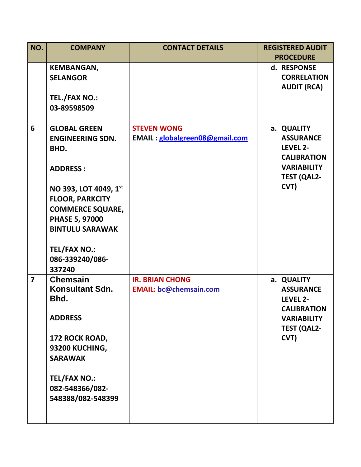| NO.            | <b>COMPANY</b>                                                                                                                                                                    | <b>CONTACT DETAILS</b>                                  | <b>REGISTERED AUDIT</b>                                                                                              |
|----------------|-----------------------------------------------------------------------------------------------------------------------------------------------------------------------------------|---------------------------------------------------------|----------------------------------------------------------------------------------------------------------------------|
|                | <b>KEMBANGAN,</b><br><b>SELANGOR</b><br><b>TEL./FAX NO.:</b><br>03-89598509                                                                                                       |                                                         | <b>PROCEDURE</b><br>d. RESPONSE<br><b>CORRELATION</b><br><b>AUDIT (RCA)</b>                                          |
| 6              | <b>GLOBAL GREEN</b><br><b>ENGINEERING SDN.</b><br>BHD.<br><b>ADDRESS:</b><br>NO 393, LOT 4049, 1st                                                                                | <b>STEVEN WONG</b><br>EMAIL: globalgreen08@gmail.com    | a. QUALITY<br><b>ASSURANCE</b><br>LEVEL 2-<br><b>CALIBRATION</b><br><b>VARIABILITY</b><br><b>TEST (QAL2-</b><br>CVT) |
|                | <b>FLOOR, PARKCITY</b><br><b>COMMERCE SQUARE,</b><br><b>PHASE 5, 97000</b><br><b>BINTULU SARAWAK</b><br><b>TEL/FAX NO.:</b><br>086-339240/086-<br>337240                          |                                                         |                                                                                                                      |
| $\overline{7}$ | <b>Chemsain</b><br>Konsultant Sdn.<br>Bhd.<br><b>ADDRESS</b><br>172 ROCK ROAD,<br>93200 KUCHING,<br><b>SARAWAK</b><br><b>TEL/FAX NO.:</b><br>082-548366/082-<br>548388/082-548399 | <b>IR. BRIAN CHONG</b><br><b>EMAIL: bc@chemsain.com</b> | a. QUALITY<br><b>ASSURANCE</b><br>LEVEL 2-<br><b>CALIBRATION</b><br><b>VARIABILITY</b><br><b>TEST (QAL2-</b><br>CVT) |
|                |                                                                                                                                                                                   |                                                         |                                                                                                                      |